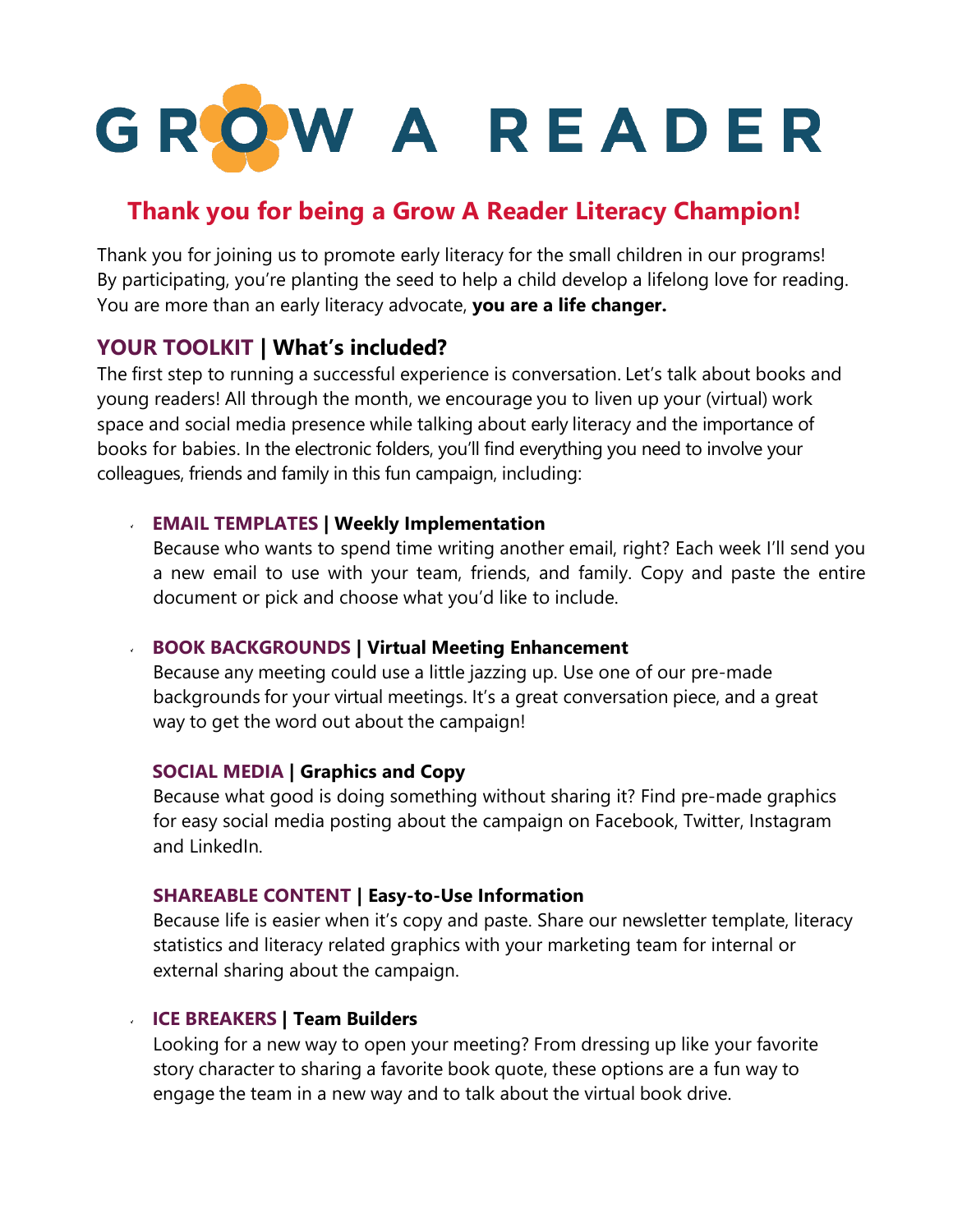

# **Thank you for being a Grow A Reader Literacy Champion!**

Thank you for joining us to promote early literacy for the small children in our programs! By participating, you're planting the seed to help a child develop a lifelong love for reading. You are more than an early literacy advocate, **you are a life changer.**

### **YOUR TOOLKIT | What's included?**

The first step to running a successful experience is conversation. Let's talk about books and young readers! All through the month, we encourage you to liven up your (virtual) work space and social media presence while talking about early literacy and the importance of books for babies. In the electronic folders, you'll find everything you need to involve your colleagues, friends and family in this fun campaign, including:

### **EMAIL TEMPLATES | Weekly Implementation**

Because who wants to spend time writing another email, right? Each week I'll send you a new email to use with your team, friends, and family. Copy and paste the entire document or pick and choose what you'd like to include.

### **BOOK BACKGROUNDS | Virtual Meeting Enhancement**

Because any meeting could use a little jazzing up. Use one of our pre-made backgrounds for your virtual meetings. It's a great conversation piece, and a great way to get the word out about the campaign!

### **SOCIAL MEDIA | Graphics and Copy**

Because what good is doing something without sharing it? Find pre-made graphics for easy social media posting about the campaign on Facebook, Twitter, Instagram and LinkedIn.

### **SHAREABLE CONTENT | Easy-to-Use Information**

Because life is easier when it's copy and paste. Share our newsletter template, literacy statistics and literacy related graphics with your marketing team for internal or external sharing about the campaign.

### **ICE BREAKERS | Team Builders**

Looking for a new way to open your meeting? From dressing up like your favorite story character to sharing a favorite book quote, these options are a fun way to engage the team in a new way and to talk about the virtual book drive.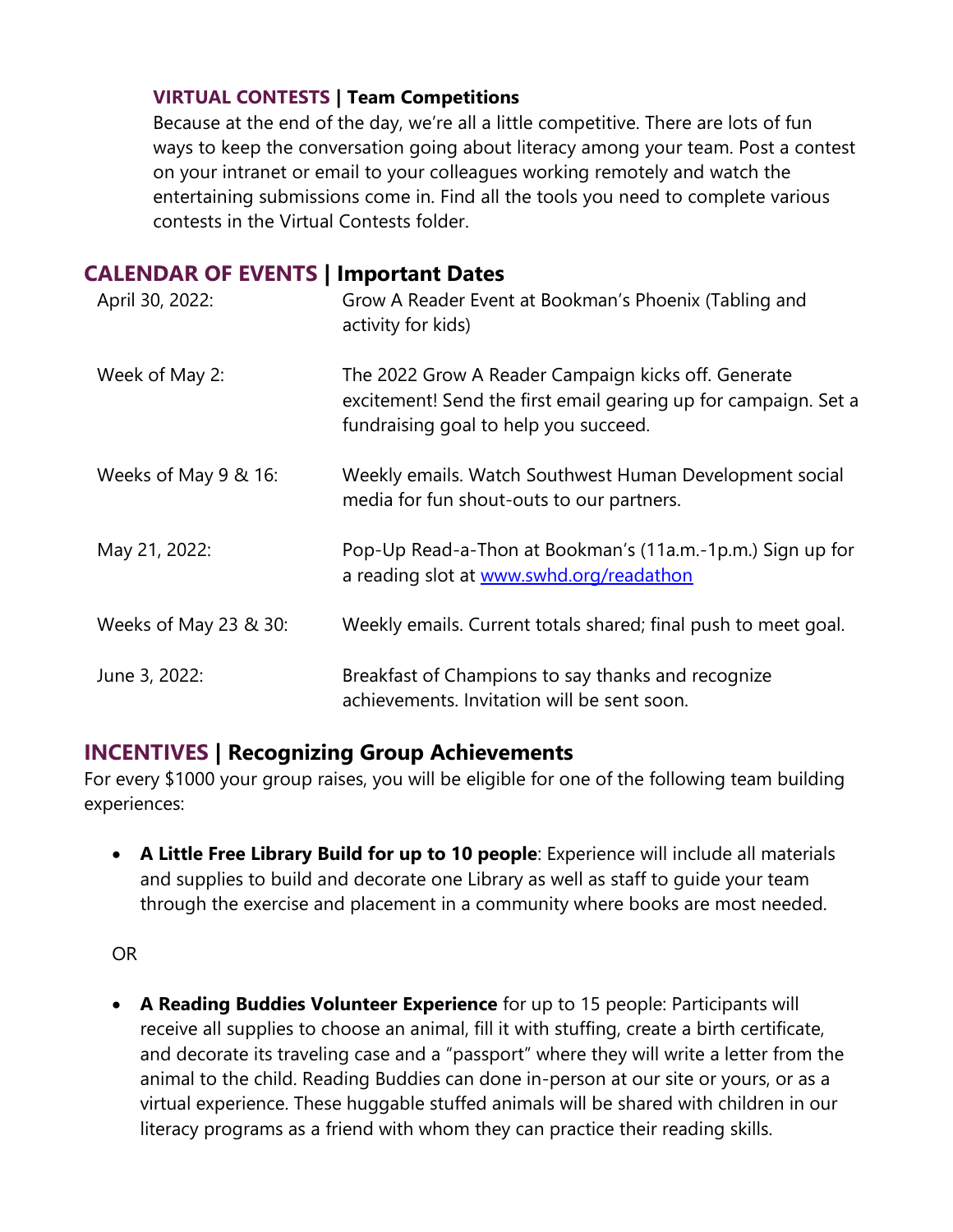### **VIRTUAL CONTESTS | Team Competitions**

Because at the end of the day, we're all a little competitive. There are lots of fun ways to keep the conversation going about literacy among your team. Post a contest on your intranet or email to your colleagues working remotely and watch the entertaining submissions come in. Find all the tools you need to complete various contests in the Virtual Contests folder.

## **CALENDAR OF EVENTS | Important Dates**

| April 30, 2022:       | Grow A Reader Event at Bookman's Phoenix (Tabling and<br>activity for kids)                                                                                     |
|-----------------------|-----------------------------------------------------------------------------------------------------------------------------------------------------------------|
| Week of May 2:        | The 2022 Grow A Reader Campaign kicks off. Generate<br>excitement! Send the first email gearing up for campaign. Set a<br>fundraising goal to help you succeed. |
| Weeks of May 9 & 16:  | Weekly emails. Watch Southwest Human Development social<br>media for fun shout-outs to our partners.                                                            |
| May 21, 2022:         | Pop-Up Read-a-Thon at Bookman's (11a.m.-1p.m.) Sign up for<br>a reading slot at www.swhd.org/readathon                                                          |
| Weeks of May 23 & 30: | Weekly emails. Current totals shared; final push to meet goal.                                                                                                  |
| June 3, 2022:         | Breakfast of Champions to say thanks and recognize<br>achievements. Invitation will be sent soon.                                                               |

### **INCENTIVES | Recognizing Group Achievements**

For every \$1000 your group raises, you will be eligible for one of the following team building experiences:

• **A Little Free Library Build for up to 10 people**: Experience will include all materials and supplies to build and decorate one Library as well as staff to guide your team through the exercise and placement in a community where books are most needed.

OR

• **A Reading Buddies Volunteer Experience** for up to 15 people: Participants will receive all supplies to choose an animal, fill it with stuffing, create a birth certificate, and decorate its traveling case and a "passport" where they will write a letter from the animal to the child. Reading Buddies can done in-person at our site or yours, or as a virtual experience. These huggable stuffed animals will be shared with children in our literacy programs as a friend with whom they can practice their reading skills.